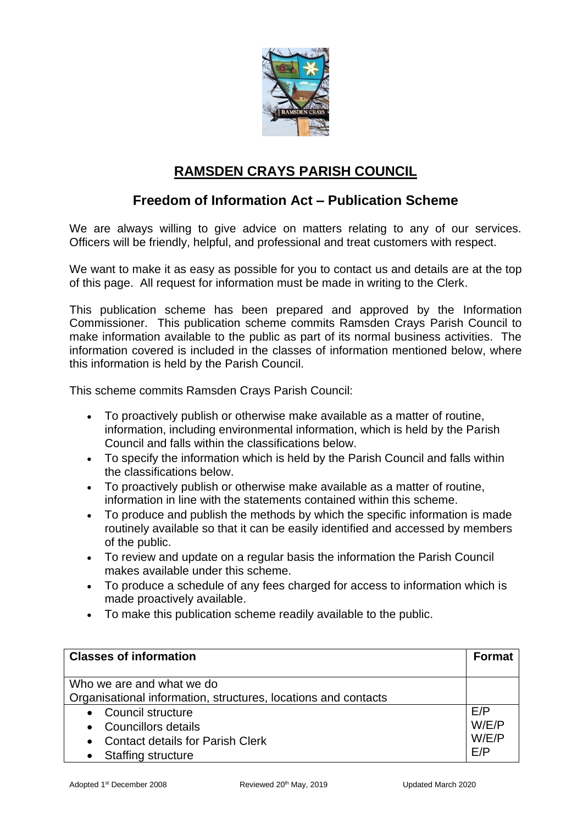

## **RAMSDEN CRAYS PARISH COUNCIL**

## **Freedom of Information Act – Publication Scheme**

We are always willing to give advice on matters relating to any of our services. Officers will be friendly, helpful, and professional and treat customers with respect.

We want to make it as easy as possible for you to contact us and details are at the top of this page. All request for information must be made in writing to the Clerk.

This publication scheme has been prepared and approved by the Information Commissioner. This publication scheme commits Ramsden Crays Parish Council to make information available to the public as part of its normal business activities. The information covered is included in the classes of information mentioned below, where this information is held by the Parish Council.

This scheme commits Ramsden Crays Parish Council:

- To proactively publish or otherwise make available as a matter of routine, information, including environmental information, which is held by the Parish Council and falls within the classifications below.
- To specify the information which is held by the Parish Council and falls within the classifications below.
- To proactively publish or otherwise make available as a matter of routine, information in line with the statements contained within this scheme.
- To produce and publish the methods by which the specific information is made routinely available so that it can be easily identified and accessed by members of the public.
- To review and update on a regular basis the information the Parish Council makes available under this scheme.
- To produce a schedule of any fees charged for access to information which is made proactively available.
- To make this publication scheme readily available to the public.

| <b>Classes of information</b>                                                               | <b>Format</b>  |
|---------------------------------------------------------------------------------------------|----------------|
| Who we are and what we do<br>Organisational information, structures, locations and contacts |                |
| • Council structure                                                                         | E/P            |
| • Councillors details<br>• Contact details for Parish Clerk                                 | W/E/P<br>W/E/P |
| <b>Staffing structure</b>                                                                   | E/P            |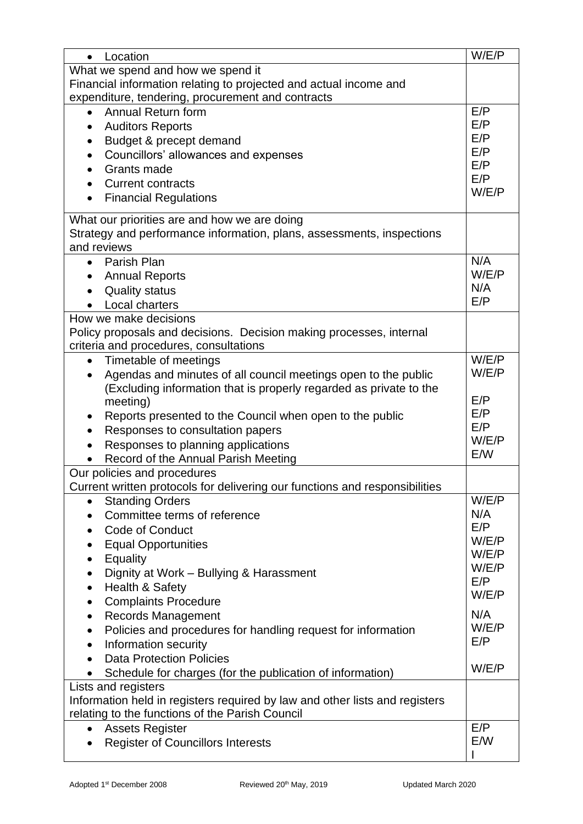| Location<br>$\bullet$                                                           | W/E/P          |
|---------------------------------------------------------------------------------|----------------|
| What we spend and how we spend it                                               |                |
| Financial information relating to projected and actual income and               |                |
| expenditure, tendering, procurement and contracts                               |                |
| Annual Return form                                                              | E/P            |
| <b>Auditors Reports</b><br>$\bullet$                                            | E/P            |
| Budget & precept demand                                                         | E/P            |
| Councillors' allowances and expenses<br>$\bullet$                               | E/P            |
| Grants made                                                                     | E/P<br>E/P     |
| <b>Current contracts</b>                                                        | W/E/P          |
| <b>Financial Regulations</b>                                                    |                |
| What our priorities are and how we are doing                                    |                |
| Strategy and performance information, plans, assessments, inspections           |                |
| and reviews                                                                     |                |
| Parish Plan<br>$\bullet$                                                        | N/A            |
| <b>Annual Reports</b>                                                           | W/E/P          |
| <b>Quality status</b>                                                           | N/A            |
| Local charters                                                                  | E/P            |
| How we make decisions                                                           |                |
| Policy proposals and decisions. Decision making processes, internal             |                |
| criteria and procedures, consultations                                          |                |
| Timetable of meetings<br>$\bullet$                                              | W/E/P          |
| Agendas and minutes of all council meetings open to the public<br>$\bullet$     | W/E/P          |
| (Excluding information that is properly regarded as private to the              |                |
| meeting)                                                                        | E/P            |
| Reports presented to the Council when open to the public                        | E/P            |
| Responses to consultation papers<br>$\bullet$                                   | E/P            |
| Responses to planning applications                                              | W/E/P          |
| Record of the Annual Parish Meeting                                             | E/W            |
| Our policies and procedures                                                     |                |
| Current written protocols for delivering our functions and responsibilities     |                |
| <b>Standing Orders</b><br>$\bullet$                                             | W/E/P          |
| Committee terms of reference<br>$\bullet$                                       | N/A            |
| Code of Conduct                                                                 | E/P            |
| <b>Equal Opportunities</b>                                                      | W/E/P<br>W/E/P |
| Equality<br>$\bullet$                                                           | W/E/P          |
| Dignity at Work - Bullying & Harassment<br>$\bullet$                            | E/P            |
| Health & Safety<br>$\bullet$                                                    | W/E/P          |
| <b>Complaints Procedure</b><br>$\bullet$                                        |                |
| <b>Records Management</b><br>$\bullet$                                          | N/A            |
| Policies and procedures for handling request for information<br>٠               | W/E/P          |
| Information security<br>$\bullet$                                               | E/P            |
| <b>Data Protection Policies</b>                                                 | W/E/P          |
| Schedule for charges (for the publication of information)<br>$\bullet$          |                |
| Lists and registers                                                             |                |
| Information held in registers required by law and other lists and registers     |                |
| relating to the functions of the Parish Council                                 | E/P            |
| <b>Assets Register</b><br>$\bullet$<br><b>Register of Councillors Interests</b> | E/W            |
|                                                                                 |                |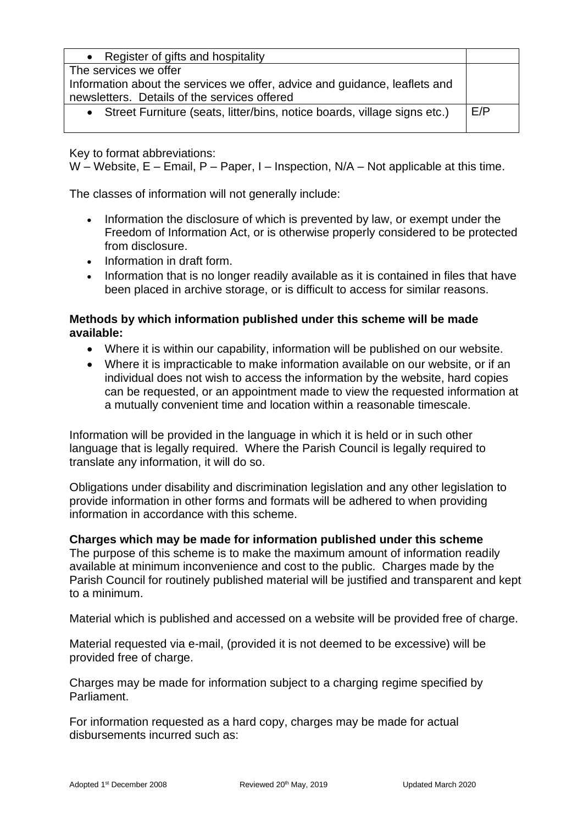| • Register of gifts and hospitality                                        |     |
|----------------------------------------------------------------------------|-----|
| The services we offer                                                      |     |
| Information about the services we offer, advice and guidance, leaflets and |     |
| newsletters. Details of the services offered                               |     |
| • Street Furniture (seats, litter/bins, notice boards, village signs etc.) | E/P |
|                                                                            |     |

Key to format abbreviations:

W – Website,  $E$  – Email, P – Paper, I – Inspection, N/A – Not applicable at this time.

The classes of information will not generally include:

- Information the disclosure of which is prevented by law, or exempt under the Freedom of Information Act, or is otherwise properly considered to be protected from disclosure.
- Information in draft form.
- Information that is no longer readily available as it is contained in files that have been placed in archive storage, or is difficult to access for similar reasons.

### **Methods by which information published under this scheme will be made available:**

- Where it is within our capability, information will be published on our website.
- Where it is impracticable to make information available on our website, or if an individual does not wish to access the information by the website, hard copies can be requested, or an appointment made to view the requested information at a mutually convenient time and location within a reasonable timescale.

Information will be provided in the language in which it is held or in such other language that is legally required. Where the Parish Council is legally required to translate any information, it will do so.

Obligations under disability and discrimination legislation and any other legislation to provide information in other forms and formats will be adhered to when providing information in accordance with this scheme.

#### **Charges which may be made for information published under this scheme**

The purpose of this scheme is to make the maximum amount of information readily available at minimum inconvenience and cost to the public. Charges made by the Parish Council for routinely published material will be justified and transparent and kept to a minimum.

Material which is published and accessed on a website will be provided free of charge.

Material requested via e-mail, (provided it is not deemed to be excessive) will be provided free of charge.

Charges may be made for information subject to a charging regime specified by Parliament.

For information requested as a hard copy, charges may be made for actual disbursements incurred such as: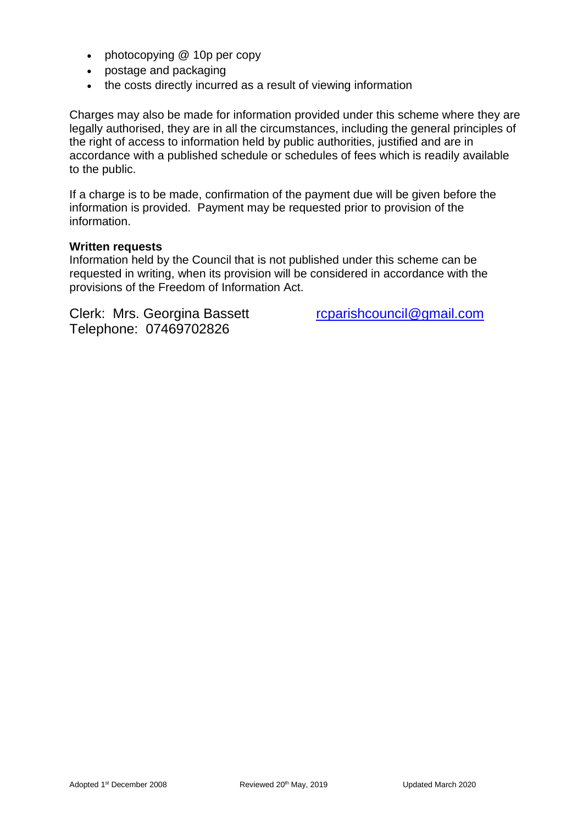- photocopying @ 10p per copy
- postage and packaging
- the costs directly incurred as a result of viewing information

Charges may also be made for information provided under this scheme where they are legally authorised, they are in all the circumstances, including the general principles of the right of access to information held by public authorities, justified and are in accordance with a published schedule or schedules of fees which is readily available to the public.

If a charge is to be made, confirmation of the payment due will be given before the information is provided. Payment may be requested prior to provision of the information.

#### **Written requests**

Information held by the Council that is not published under this scheme can be requested in writing, when its provision will be considered in accordance with the provisions of the Freedom of Information Act.

Clerk: Mrs. Georgina Bassett [rcparishcouncil@gmail.com](mailto:rcparishcouncil@gmail.com) Telephone: 07469702826